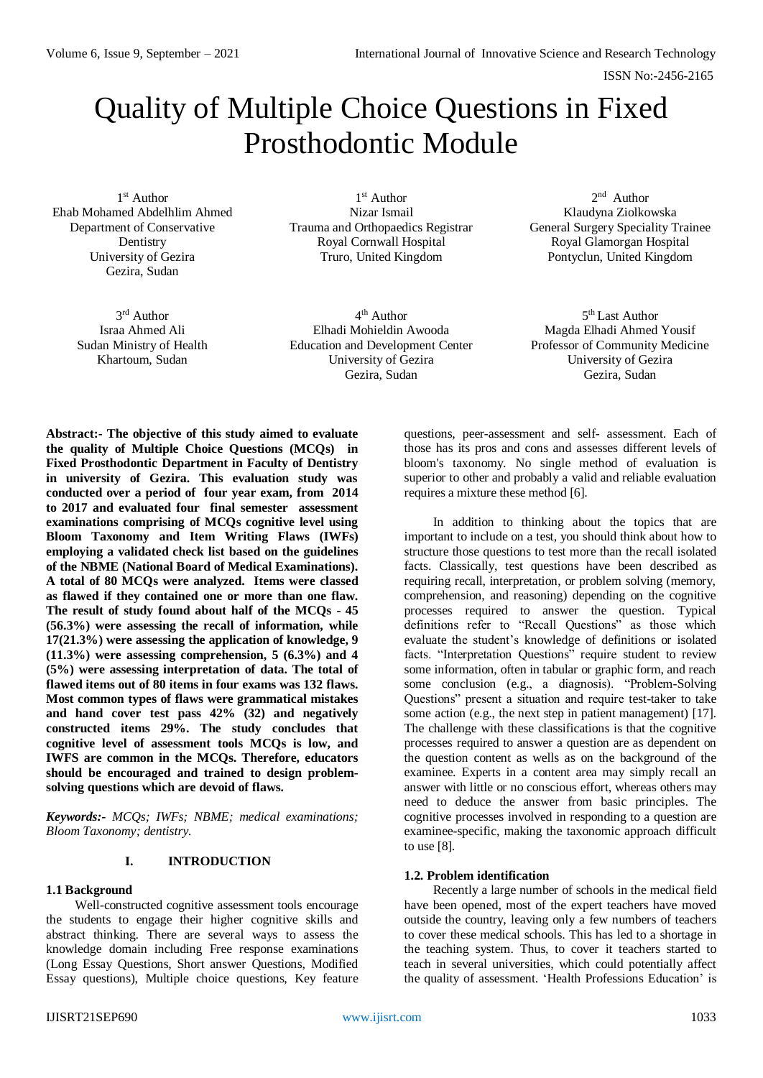# Quality of Multiple Choice Questions in Fixed Prosthodontic Module

1 st Author Ehab Mohamed Abdelhlim Ahmed Department of Conservative Dentistry University of Gezira Gezira, Sudan

1 st Author Nizar Ismail Trauma and Orthopaedics Registrar Royal Cornwall Hospital Truro, United Kingdom

2<sup>nd</sup> Author Klaudyna Ziolkowska General Surgery Speciality Trainee Royal Glamorgan Hospital Pontyclun, United Kingdom

3<sup>rd</sup> Author Israa Ahmed Ali Sudan Ministry of Health Khartoum, Sudan

4 th Author Elhadi Mohieldin Awooda Education and Development Center University of Gezira Gezira, Sudan

5<sup>th</sup> Last Author Magda Elhadi Ahmed Yousif Professor of Community Medicine University of Gezira Gezira, Sudan

**Abstract:- The objective of this study aimed to evaluate the quality of Multiple Choice Questions (MCQs) in Fixed Prosthodontic Department in Faculty of Dentistry in university of Gezira. This evaluation study was conducted over a period of four year exam, from 2014 to 2017 and evaluated four final semester assessment examinations comprising of MCQs cognitive level using Bloom Taxonomy and Item Writing Flaws (IWFs) employing a validated check list based on the guidelines of the NBME (National Board of Medical Examinations). A total of 80 MCQs were analyzed. Items were classed as flawed if they contained one or more than one flaw. The result of study found about half of the MCQs - 45 (56.3%) were assessing the recall of information, while 17(21.3%) were assessing the application of knowledge, 9 (11.3%) were assessing comprehension, 5 (6.3%) and 4 (5%) were assessing interpretation of data. The total of flawed items out of 80 items in four exams was 132 flaws. Most common types of flaws were grammatical mistakes and hand cover test pass 42% (32) and negatively constructed items 29%. The study concludes that cognitive level of assessment tools MCQs is low, and IWFS are common in the MCQs. Therefore, educators should be encouraged and trained to design problemsolving questions which are devoid of flaws.**

*Keywords:- MCQs; IWFs; NBME; medical examinations; Bloom Taxonomy; dentistry.*

# **I. INTRODUCTION**

#### **1.1 Background**

Well-constructed cognitive assessment tools encourage the students to engage their higher cognitive skills and abstract thinking. There are several ways to assess the knowledge domain including Free response examinations (Long Essay Questions, Short answer Questions, Modified Essay questions), Multiple choice questions, Key feature

questions, peer-assessment and self- assessment. Each of those has its pros and cons and assesses different levels of bloom's taxonomy. No single method of evaluation is superior to other and probably a valid and reliable evaluation requires a mixture these method [6].

In addition to thinking about the topics that are important to include on a test, you should think about how to structure those questions to test more than the recall isolated facts. Classically, test questions have been described as requiring recall, interpretation, or problem solving (memory, comprehension, and reasoning) depending on the cognitive processes required to answer the question. Typical definitions refer to "Recall Questions" as those which evaluate the student's knowledge of definitions or isolated facts. "Interpretation Questions" require student to review some information, often in tabular or graphic form, and reach some conclusion (e.g., a diagnosis). "Problem-Solving Questions" present a situation and require test-taker to take some action (e.g., the next step in patient management) [17]. The challenge with these classifications is that the cognitive processes required to answer a question are as dependent on the question content as wells as on the background of the examinee. Experts in a content area may simply recall an answer with little or no conscious effort, whereas others may need to deduce the answer from basic principles. The cognitive processes involved in responding to a question are examinee-specific, making the taxonomic approach difficult to use [8].

# **1.2. Problem identification**

Recently a large number of schools in the medical field have been opened, most of the expert teachers have moved outside the country, leaving only a few numbers of teachers to cover these medical schools. This has led to a shortage in the teaching system. Thus, to cover it teachers started to teach in several universities, which could potentially affect the quality of assessment. 'Health Professions Education' is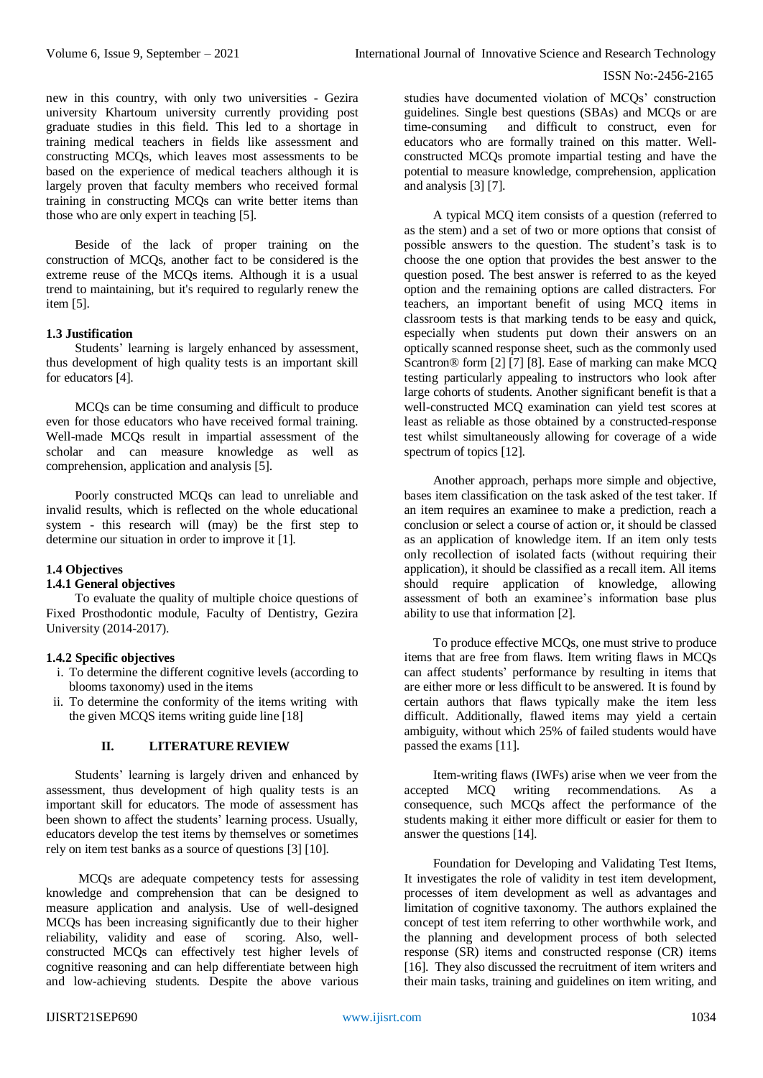new in this country, with only two universities - Gezira university Khartoum university currently providing post graduate studies in this field. This led to a shortage in training medical teachers in fields like assessment and constructing MCQs, which leaves most assessments to be based on the experience of medical teachers although it is largely proven that faculty members who received formal training in constructing MCQs can write better items than those who are only expert in teaching [5].

Beside of the lack of proper training on the construction of MCQs, another fact to be considered is the extreme reuse of the MCQs items. Although it is a usual trend to maintaining, but it's required to regularly renew the item [5].

## **1.3 Justification**

Students' learning is largely enhanced by assessment, thus development of high quality tests is an important skill for educators [4].

MCQs can be time consuming and difficult to produce even for those educators who have received formal training. Well-made MCQs result in impartial assessment of the scholar and can measure knowledge as well as comprehension, application and analysis [5].

Poorly constructed MCQs can lead to unreliable and invalid results, which is reflected on the whole educational system - this research will (may) be the first step to determine our situation in order to improve it [1].

# **1.4 Objectives**

#### **1.4.1 General objectives**

To evaluate the quality of multiple choice questions of Fixed Prosthodontic module, Faculty of Dentistry, Gezira University (2014-2017).

#### **1.4.2 Specific objectives**

- i. To determine the different cognitive levels (according to blooms taxonomy) used in the items
- ii. To determine the conformity of the items writing with the given MCQS items writing guide line [18]

# **II. LITERATURE REVIEW**

Students' learning is largely driven and enhanced by assessment, thus development of high quality tests is an important skill for educators. The mode of assessment has been shown to affect the students' learning process. Usually, educators develop the test items by themselves or sometimes rely on item test banks as a source of questions [3] [10].

MCQs are adequate competency tests for assessing knowledge and comprehension that can be designed to measure application and analysis. Use of well-designed MCQs has been increasing significantly due to their higher reliability, validity and ease of scoring. Also, wellconstructed MCQs can effectively test higher levels of cognitive reasoning and can help differentiate between high and low-achieving students. Despite the above various

studies have documented violation of MCQs' construction guidelines. Single best questions (SBAs) and MCQs or are time-consuming and difficult to construct, even for educators who are formally trained on this matter. Wellconstructed MCQs promote impartial testing and have the potential to measure knowledge, comprehension, application and analysis [3] [7].

A typical MCQ item consists of a question (referred to as the stem) and a set of two or more options that consist of possible answers to the question. The student's task is to choose the one option that provides the best answer to the question posed. The best answer is referred to as the keyed option and the remaining options are called distracters. For teachers, an important benefit of using MCQ items in classroom tests is that marking tends to be easy and quick, especially when students put down their answers on an optically scanned response sheet, such as the commonly used Scantron® form [2] [7] [8]. Ease of marking can make MCQ testing particularly appealing to instructors who look after large cohorts of students. Another significant benefit is that a well-constructed MCQ examination can yield test scores at least as reliable as those obtained by a constructed-response test whilst simultaneously allowing for coverage of a wide spectrum of topics [12].

Another approach, perhaps more simple and objective, bases item classification on the task asked of the test taker. If an item requires an examinee to make a prediction, reach a conclusion or select a course of action or, it should be classed as an application of knowledge item. If an item only tests only recollection of isolated facts (without requiring their application), it should be classified as a recall item. All items should require application of knowledge, allowing assessment of both an examinee's information base plus ability to use that information [2].

To produce effective MCQs, one must strive to produce items that are free from flaws. Item writing flaws in MCQs can affect students' performance by resulting in items that are either more or less difficult to be answered. It is found by certain authors that flaws typically make the item less difficult. Additionally, flawed items may yield a certain ambiguity, without which 25% of failed students would have passed the exams [11].

Item-writing flaws (IWFs) arise when we veer from the accepted MCQ writing recommendations. As a consequence, such MCQs affect the performance of the students making it either more difficult or easier for them to answer the questions [14].

Foundation for Developing and Validating Test Items, It investigates the role of validity in test item development, processes of item development as well as advantages and limitation of cognitive taxonomy. The authors explained the concept of test item referring to other worthwhile work, and the planning and development process of both selected response (SR) items and constructed response (CR) items [16]. They also discussed the recruitment of item writers and their main tasks, training and guidelines on item writing, and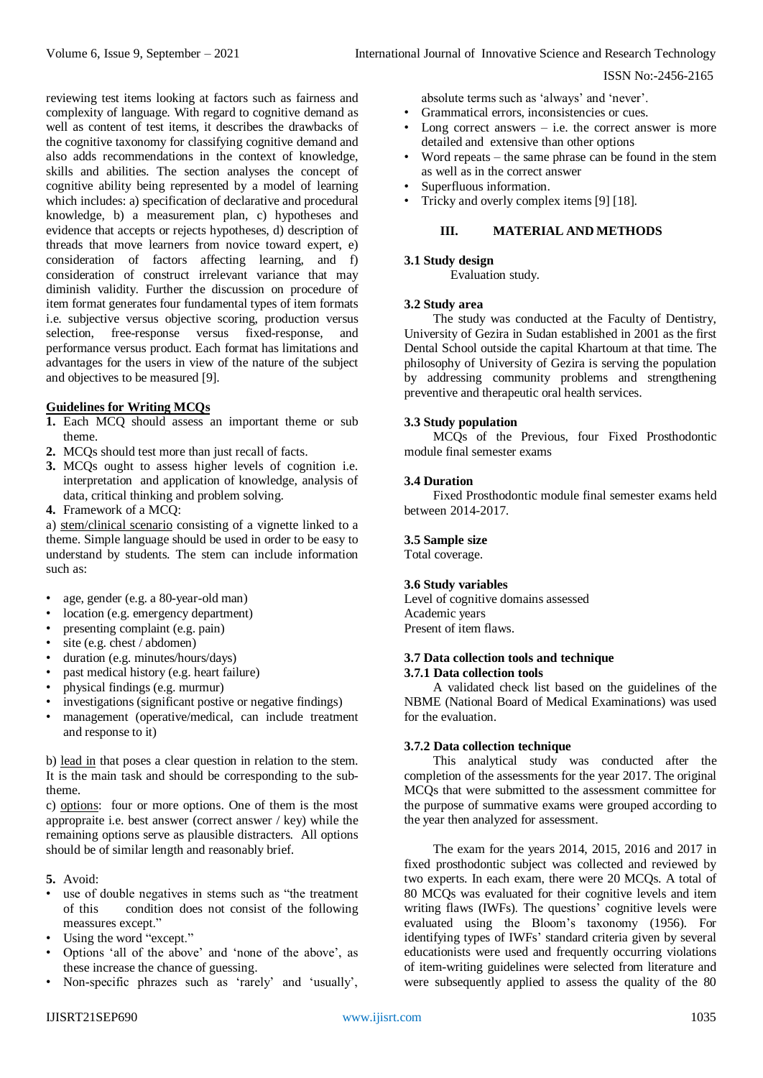reviewing test items looking at factors such as fairness and complexity of language. With regard to cognitive demand as well as content of test items, it describes the drawbacks of the cognitive taxonomy for classifying cognitive demand and also adds recommendations in the context of knowledge, skills and abilities. The section analyses the concept of cognitive ability being represented by a model of learning which includes: a) specification of declarative and procedural knowledge, b) a measurement plan, c) hypotheses and evidence that accepts or rejects hypotheses, d) description of threads that move learners from novice toward expert, e) consideration of factors affecting learning, and f) consideration of construct irrelevant variance that may diminish validity. Further the discussion on procedure of item format generates four fundamental types of item formats i.e. subjective versus objective scoring, production versus selection, free-response versus fixed-response, and performance versus product. Each format has limitations and advantages for the users in view of the nature of the subject and objectives to be measured [9].

# **Guidelines for Writing MCQs**

- **1.** Each MCQ should assess an important theme or sub theme.
- **2.** MCQs should test more than just recall of facts.
- **3.** MCQs ought to assess higher levels of cognition i.e. interpretation and application of knowledge, analysis of data, critical thinking and problem solving.
- **4.** Framework of a MCQ:

a) stem/clinical scenario consisting of a vignette linked to a theme. Simple language should be used in order to be easy to understand by students. The stem can include information such as:

- age, gender (e.g. a 80-year-old man)
- location (e.g. emergency department)
- presenting complaint (e.g. pain)
- site (e.g. chest / abdomen)
- duration (e.g. minutes/hours/days)
- past medical history (e.g. heart failure)
- physical findings (e.g. murmur)
- investigations (significant postive or negative findings)
- management (operative/medical, can include treatment and response to it)

b) lead in that poses a clear question in relation to the stem. It is the main task and should be corresponding to the subtheme.

c) options: four or more options. One of them is the most appropraite i.e. best answer (correct answer / key) while the remaining options serve as plausible distracters. All options should be of similar length and reasonably brief.

- **5.** Avoid:
- use of double negatives in stems such as "the treatment of this condition does not consist of the following meassures except."
- Using the word "except."
- Options 'all of the above' and 'none of the above', as these increase the chance of guessing.
- Non-specific phrazes such as 'rarely' and 'usually',

absolute terms such as 'always' and 'never'.

- Grammatical errors, inconsistencies or cues.
- Long correct answers  $-$  i.e. the correct answer is more detailed and extensive than other options
- Word repeats the same phrase can be found in the stem as well as in the correct answer
- Superfluous information.
- Tricky and overly complex items [9] [18].

# **III. MATERIAL AND METHODS**

# **3.1 Study design**

Evaluation study.

# **3.2 Study area**

The study was conducted at the Faculty of Dentistry, University of Gezira in Sudan established in 2001 as the first Dental School outside the capital Khartoum at that time. The philosophy of University of Gezira is serving the population by addressing community problems and strengthening preventive and therapeutic oral health services.

# **3.3 Study population**

MCQs of the Previous, four Fixed Prosthodontic module final semester exams

# **3.4 Duration**

Fixed Prosthodontic module final semester exams held between 2014-2017.

# **3.5 Sample size**

Total coverage.

# **3.6 Study variables**

Level of cognitive domains assessed Academic years Present of item flaws.

#### **3.7 Data collection tools and technique 3.7.1 Data collection tools**

A validated check list based on the guidelines of the NBME (National Board of Medical Examinations) was used for the evaluation.

# **3.7.2 Data collection technique**

This analytical study was conducted after the completion of the assessments for the year 2017. The original MCQs that were submitted to the assessment committee for the purpose of summative exams were grouped according to the year then analyzed for assessment.

The exam for the years 2014, 2015, 2016 and 2017 in fixed prosthodontic subject was collected and reviewed by two experts. In each exam, there were 20 MCQs. A total of 80 MCQs was evaluated for their cognitive levels and item writing flaws (IWFs). The questions' cognitive levels were evaluated using the Bloom's taxonomy (1956). For identifying types of IWFs' standard criteria given by several educationists were used and frequently occurring violations of item-writing guidelines were selected from literature and were subsequently applied to assess the quality of the 80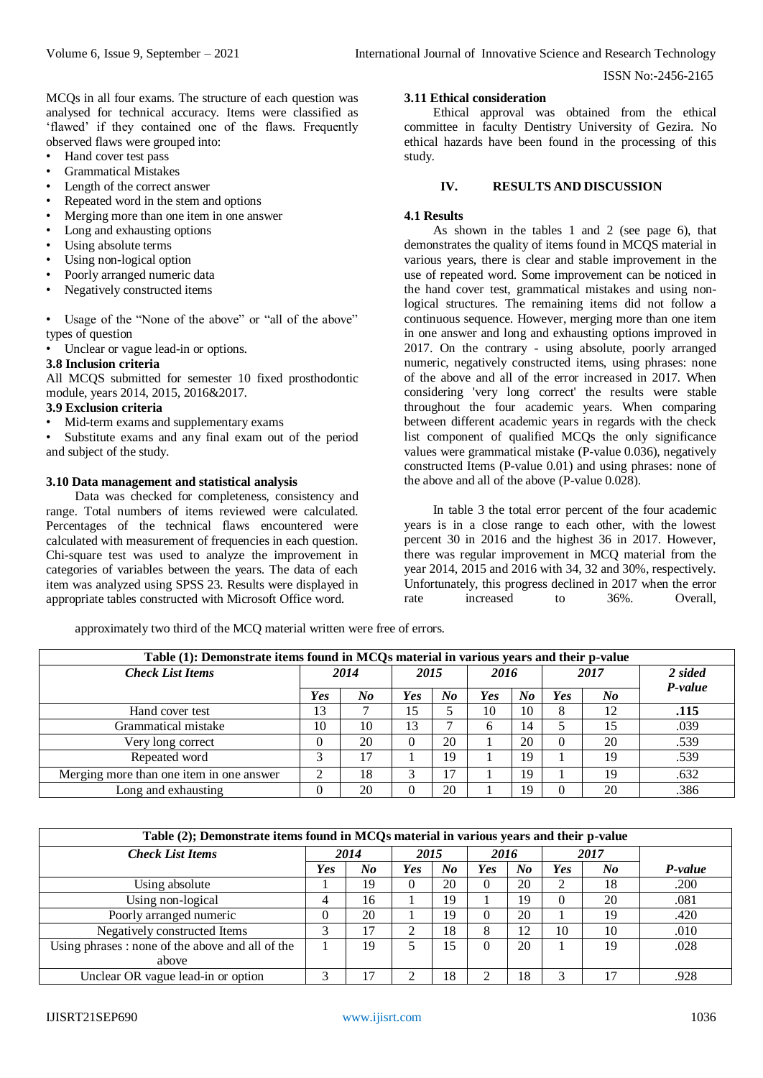MCQs in all four exams. The structure of each question was analysed for technical accuracy. Items were classified as 'flawed' if they contained one of the flaws. Frequently observed flaws were grouped into:

- Hand cover test pass
- Grammatical Mistakes
- Length of the correct answer
- Repeated word in the stem and options
- Merging more than one item in one answer
- Long and exhausting options
- Using absolute terms
- Using non-logical option
- Poorly arranged numeric data
- Negatively constructed items

• Usage of the "None of the above" or "all of the above" types of question

Unclear or vague lead-in or options.

## **3.8 Inclusion criteria**

All MCQS submitted for semester 10 fixed prosthodontic module, years 2014, 2015, 2016&2017.

## **3.9 Exclusion criteria**

- Mid-term exams and supplementary exams
- Substitute exams and any final exam out of the period and subject of the study.

## **3.10 Data management and statistical analysis**

Data was checked for completeness, consistency and range. Total numbers of items reviewed were calculated. Percentages of the technical flaws encountered were calculated with measurement of frequencies in each question. Chi-square test was used to analyze the improvement in categories of variables between the years. The data of each item was analyzed using SPSS 23. Results were displayed in appropriate tables constructed with Microsoft Office word.

## **3.11 Ethical consideration**

Ethical approval was obtained from the ethical committee in faculty Dentistry University of Gezira. No ethical hazards have been found in the processing of this study.

#### **IV. RESULTS AND DISCUSSION**

## **4.1 Results**

As shown in the tables 1 and 2 (see page 6), that demonstrates the quality of items found in MCQS material in various years, there is clear and stable improvement in the use of repeated word. Some improvement can be noticed in the hand cover test, grammatical mistakes and using nonlogical structures. The remaining items did not follow a continuous sequence. However, merging more than one item in one answer and long and exhausting options improved in 2017. On the contrary - using absolute, poorly arranged numeric, negatively constructed items, using phrases: none of the above and all of the error increased in 2017. When considering 'very long correct' the results were stable throughout the four academic years. When comparing between different academic years in regards with the check list component of qualified MCQs the only significance values were grammatical mistake (P-value 0.036), negatively constructed Items (P-value 0.01) and using phrases: none of the above and all of the above (P-value 0.028).

In table 3 the total error percent of the four academic years is in a close range to each other, with the lowest percent 30 in 2016 and the highest 36 in 2017. However, there was regular improvement in MCQ material from the year 2014, 2015 and 2016 with 34, 32 and 30%, respectively. Unfortunately, this progress declined in 2017 when the error rate increased to 36%. Overall,

approximately two third of the MCQ material written were free of errors.

| Table (1): Demonstrate items found in MCOs material in various years and their p-value |      |         |      |    |              |         |          |         |         |
|----------------------------------------------------------------------------------------|------|---------|------|----|--------------|---------|----------|---------|---------|
| <b>Check List Items</b>                                                                | 2014 |         | 2015 |    | 2016         |         | 2017     |         | 2 sided |
|                                                                                        |      |         |      |    |              |         |          |         | P-value |
|                                                                                        | Yes  | $N_{0}$ | Yes  | No | Yes          | $N_{0}$ | Yes      | $N_{0}$ |         |
| Hand cover test                                                                        | 13   |         | 15   |    | 10           | 10      | 8        | 12      | .115    |
| Grammatical mistake                                                                    | 10   | 10      | 13   | ⇁  | <sub>6</sub> | 14      |          | 15      | .039    |
| Very long correct                                                                      |      | 20      | 0    | 20 |              | 20      | $\Omega$ | 20      | .539    |
| Repeated word                                                                          | 3    | 17      |      | 19 |              | 19      |          | 19      | .539    |
| Merging more than one item in one answer                                               | ◠    | 18      |      | 17 |              | 19      |          | 19      | .632    |
| Long and exhausting                                                                    | 0    | 20      | 0    | 20 |              | 19      | $\Omega$ | 20      | .386    |

| Table (2); Demonstrate items found in MCQs material in various years and their p-value |     |      |     |         |          |         |          |         |         |
|----------------------------------------------------------------------------------------|-----|------|-----|---------|----------|---------|----------|---------|---------|
| <b>Check List Items</b>                                                                |     | 2014 |     | 2015    |          | 2016    | 2017     |         |         |
|                                                                                        | Yes | No   | Yes | $N_{0}$ | Yes      | $N_{0}$ | Yes      | $N_{0}$ | P-value |
| Using absolute                                                                         |     | 19   | 0   | 20      | $\Omega$ | 20      |          | 18      | .200    |
| Using non-logical                                                                      | 4   | 16   |     | 19      |          | 19      | $\theta$ | 20      | .081    |
| Poorly arranged numeric                                                                |     | 20   |     | 19      | $\Omega$ | 20      |          | 19      | .420    |
| Negatively constructed Items                                                           |     | 17   | ↑   | 18      | 8        | 12      | 10       | 10      | .010    |
| Using phrases : none of the above and all of the                                       |     | 19   |     | 15      | $\Omega$ | 20      |          | 19      | .028    |
| above                                                                                  |     |      |     |         |          |         |          |         |         |
| Unclear OR vague lead-in or option                                                     |     |      |     | 18      |          | 18      |          |         | .928    |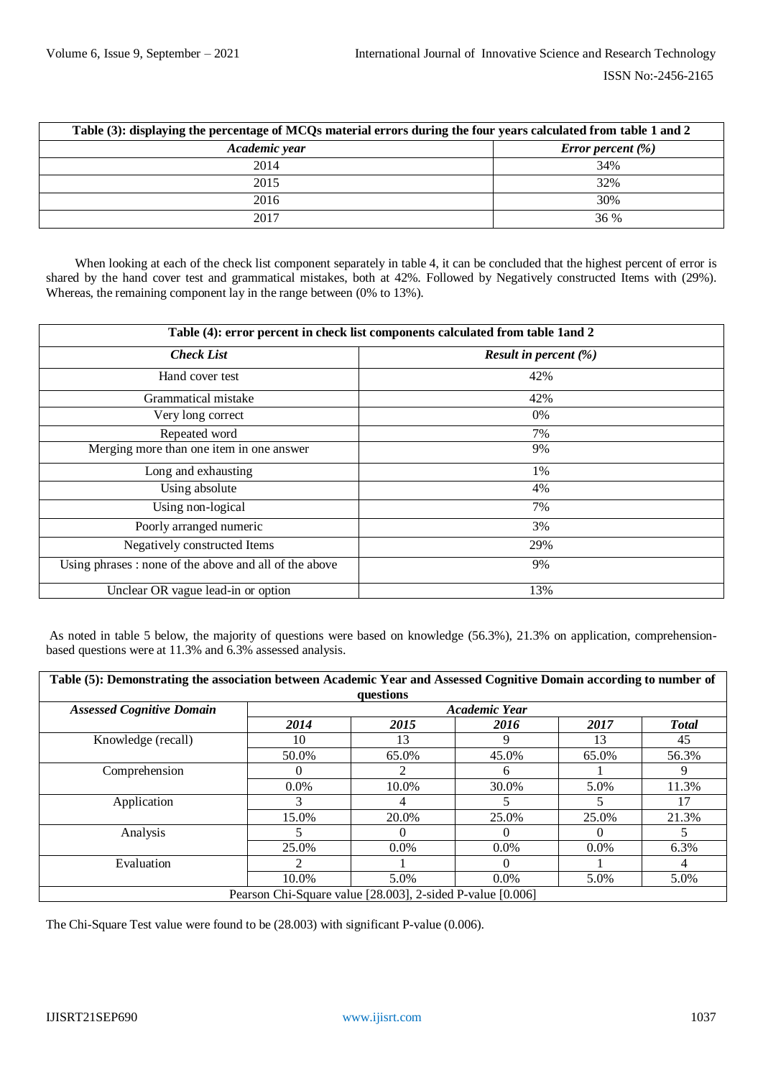| Table (3): displaying the percentage of MCQs material errors during the four years calculated from table 1 and 2 |                             |  |  |  |  |  |
|------------------------------------------------------------------------------------------------------------------|-----------------------------|--|--|--|--|--|
| Academic year                                                                                                    | <i>Error percent</i> $(\%)$ |  |  |  |  |  |
| 2014                                                                                                             | 34%                         |  |  |  |  |  |
| 2015                                                                                                             | 32%                         |  |  |  |  |  |
| 2016                                                                                                             | 30%                         |  |  |  |  |  |
| 2017                                                                                                             | 36 %                        |  |  |  |  |  |

When looking at each of the check list component separately in table 4, it can be concluded that the highest percent of error is shared by the hand cover test and grammatical mistakes, both at 42%. Followed by Negatively constructed Items with (29%). Whereas, the remaining component lay in the range between (0% to 13%).

| Table (4): error percent in check list components calculated from table 1 and 2 |                                 |  |  |  |  |  |  |
|---------------------------------------------------------------------------------|---------------------------------|--|--|--|--|--|--|
| <b>Check List</b>                                                               | <b>Result in percent</b> $(\%)$ |  |  |  |  |  |  |
| Hand cover test                                                                 | 42%                             |  |  |  |  |  |  |
| Grammatical mistake                                                             | 42%                             |  |  |  |  |  |  |
| Very long correct                                                               | 0%                              |  |  |  |  |  |  |
| Repeated word                                                                   | 7%                              |  |  |  |  |  |  |
| Merging more than one item in one answer                                        | 9%                              |  |  |  |  |  |  |
| Long and exhausting                                                             | 1%                              |  |  |  |  |  |  |
| Using absolute                                                                  | 4%                              |  |  |  |  |  |  |
| Using non-logical                                                               | 7%                              |  |  |  |  |  |  |
| Poorly arranged numeric                                                         | 3%                              |  |  |  |  |  |  |
| Negatively constructed Items                                                    | 29%                             |  |  |  |  |  |  |
| Using phrases: none of the above and all of the above                           | 9%                              |  |  |  |  |  |  |
| Unclear OR vague lead-in or option                                              | 13%                             |  |  |  |  |  |  |

As noted in table 5 below, the majority of questions were based on knowledge (56.3%), 21.3% on application, comprehensionbased questions were at 11.3% and 6.3% assessed analysis.

| Table (5): Demonstrating the association between Academic Year and Assessed Cognitive Domain according to number of<br>questions |                                                            |         |         |         |               |  |  |  |  |
|----------------------------------------------------------------------------------------------------------------------------------|------------------------------------------------------------|---------|---------|---------|---------------|--|--|--|--|
| <b>Assessed Cognitive Domain</b>                                                                                                 | <b>Academic Year</b>                                       |         |         |         |               |  |  |  |  |
|                                                                                                                                  | 2014                                                       | 2015    | 2016    | 2017    | <b>T</b> otal |  |  |  |  |
| Knowledge (recall)                                                                                                               | 10                                                         | 13      |         | 13      | 45            |  |  |  |  |
|                                                                                                                                  | 50.0%                                                      | 65.0%   | 45.0%   | 65.0%   | 56.3%         |  |  |  |  |
| Comprehension                                                                                                                    | $\theta$                                                   |         | 6       |         | 9             |  |  |  |  |
|                                                                                                                                  | $0.0\%$                                                    | 10.0%   | 30.0%   | 5.0%    | 11.3%         |  |  |  |  |
| Application                                                                                                                      | 3                                                          | 4       |         |         | 17            |  |  |  |  |
|                                                                                                                                  | 15.0%                                                      | 20.0%   | 25.0%   | 25.0%   | 21.3%         |  |  |  |  |
| Analysis                                                                                                                         |                                                            |         |         |         |               |  |  |  |  |
|                                                                                                                                  | 25.0%                                                      | $0.0\%$ | $0.0\%$ | $0.0\%$ | 6.3%          |  |  |  |  |
| Evaluation                                                                                                                       | $\mathfrak{D}$                                             |         | ∩       |         | 4             |  |  |  |  |
|                                                                                                                                  | 10.0%                                                      | 5.0%    | $0.0\%$ | 5.0%    | 5.0%          |  |  |  |  |
|                                                                                                                                  | Pearson Chi-Square value [28.003], 2-sided P-value [0.006] |         |         |         |               |  |  |  |  |

The Chi-Square Test value were found to be (28.003) with significant P-value (0.006).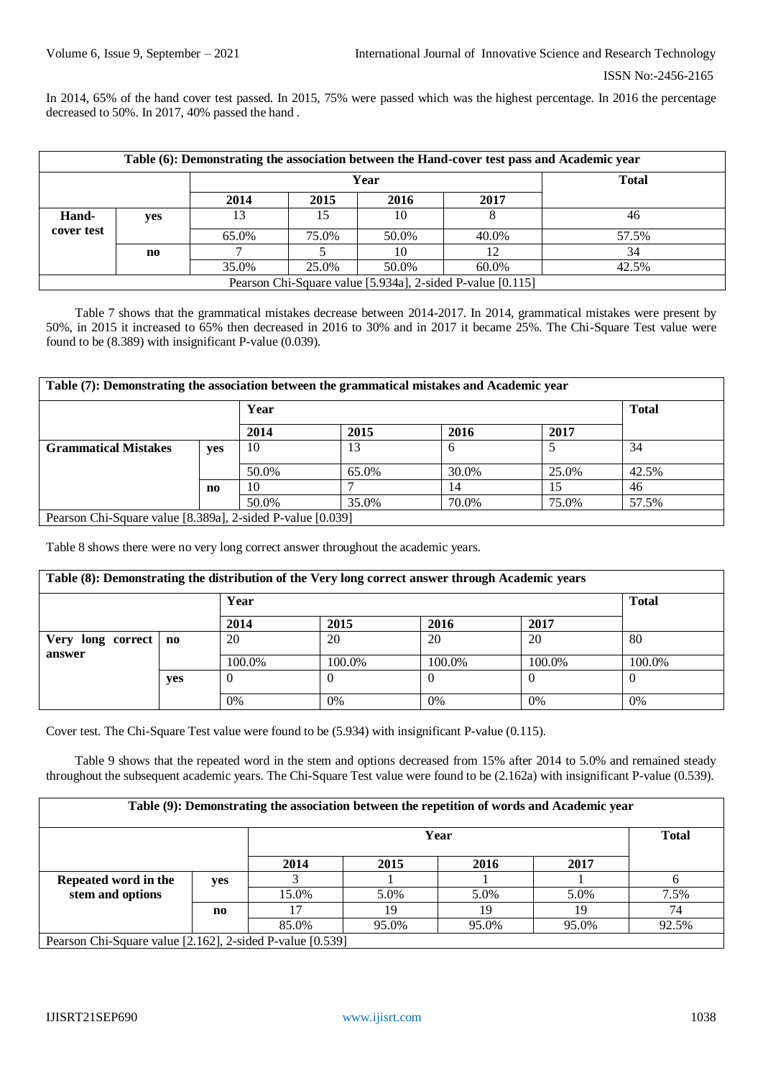In 2014, 65% of the hand cover test passed. In 2015, 75% were passed which was the highest percentage. In 2016 the percentage decreased to 50%. In 2017, 40% passed the hand .

| Table (6): Demonstrating the association between the Hand-cover test pass and Academic year |     |       |       |       |              |       |  |  |  |
|---------------------------------------------------------------------------------------------|-----|-------|-------|-------|--------------|-------|--|--|--|
|                                                                                             |     |       |       | Year  | <b>Total</b> |       |  |  |  |
|                                                                                             |     | 2014  | 2015  | 2016  | 2017         |       |  |  |  |
| Hand-                                                                                       | yes | 13    |       | 10    |              | 46    |  |  |  |
| cover test                                                                                  |     | 65.0% | 75.0% | 50.0% | 40.0%        | 57.5% |  |  |  |
|                                                                                             | no  |       |       | 10    | 12           | 34    |  |  |  |
|                                                                                             |     | 35.0% | 25.0% | 50.0% | 60.0%        | 42.5% |  |  |  |
| Pearson Chi-Square value [5.934a], 2-sided P-value [0.115]                                  |     |       |       |       |              |       |  |  |  |

Table 7 shows that the grammatical mistakes decrease between 2014-2017. In 2014, grammatical mistakes were present by 50%, in 2015 it increased to 65% then decreased in 2016 to 30% and in 2017 it became 25%. The Chi-Square Test value were found to be (8.389) with insignificant P-value (0.039).

| Table (7): Demonstrating the association between the grammatical mistakes and Academic year |     |       |       |       |       |       |  |  |  |
|---------------------------------------------------------------------------------------------|-----|-------|-------|-------|-------|-------|--|--|--|
|                                                                                             |     | Year  |       |       |       |       |  |  |  |
|                                                                                             |     | 2014  | 2015  | 2016  | 2017  |       |  |  |  |
| <b>Grammatical Mistakes</b>                                                                 | yes | 10    | 13    | 6     |       | 34    |  |  |  |
|                                                                                             |     | 50.0% | 65.0% | 30.0% | 25.0% | 42.5% |  |  |  |
|                                                                                             | no  | 10    |       | 14    | 15    | 46    |  |  |  |
|                                                                                             |     | 50.0% | 35.0% | 70.0% | 75.0% | 57.5% |  |  |  |
| Pearson Chi-Square value [8.389a], 2-sided P-value [0.039]                                  |     |       |       |       |       |       |  |  |  |

Table 8 shows there were no very long correct answer throughout the academic years.

| Table (8): Demonstrating the distribution of the Very long correct answer through Academic years |                        |              |        |        |        |          |  |  |
|--------------------------------------------------------------------------------------------------|------------------------|--------------|--------|--------|--------|----------|--|--|
|                                                                                                  |                        | <b>Total</b> |        |        |        |          |  |  |
|                                                                                                  |                        | 2014         | 2015   | 2016   | 2017   |          |  |  |
| Very<br>long correct                                                                             | $\mathbf{n}\mathbf{o}$ | 20           | 20     | 20     | 20     | 80       |  |  |
| answer                                                                                           |                        | 100.0%       | 100.0% | 100.0% | 100.0% | 100.0%   |  |  |
|                                                                                                  | yes                    | v            |        | 0      |        | $\theta$ |  |  |
|                                                                                                  |                        | 0%           | 0%     | 0%     | 0%     | 0%       |  |  |

Cover test. The Chi-Square Test value were found to be (5.934) with insignificant P-value (0.115).

Table 9 shows that the repeated word in the stem and options decreased from 15% after 2014 to 5.0% and remained steady throughout the subsequent academic years. The Chi-Square Test value were found to be (2.162a) with insignificant P-value (0.539).

| Table (9): Demonstrating the association between the repetition of words and Academic year |                        |                      |       |       |       |       |  |  |
|--------------------------------------------------------------------------------------------|------------------------|----------------------|-------|-------|-------|-------|--|--|
|                                                                                            |                        | <b>Total</b><br>Year |       |       |       |       |  |  |
|                                                                                            |                        | 2014                 | 2015  | 2016  | 2017  |       |  |  |
| Repeated word in the                                                                       | yes                    |                      |       |       |       |       |  |  |
| stem and options                                                                           |                        | 15.0%                | 5.0%  | 5.0%  | 5.0%  | 7.5%  |  |  |
|                                                                                            | $\mathbf{n}\mathbf{o}$ |                      | 19    | 19    | 19    | 74    |  |  |
|                                                                                            |                        | 85.0%                | 95.0% | 95.0% | 95.0% | 92.5% |  |  |
| Pearson Chi-Square value [2.162], 2-sided P-value [0.539]                                  |                        |                      |       |       |       |       |  |  |

IJISRT21SEP690 [www.ijisrt.com](http://www.ijisrt.com/) 1038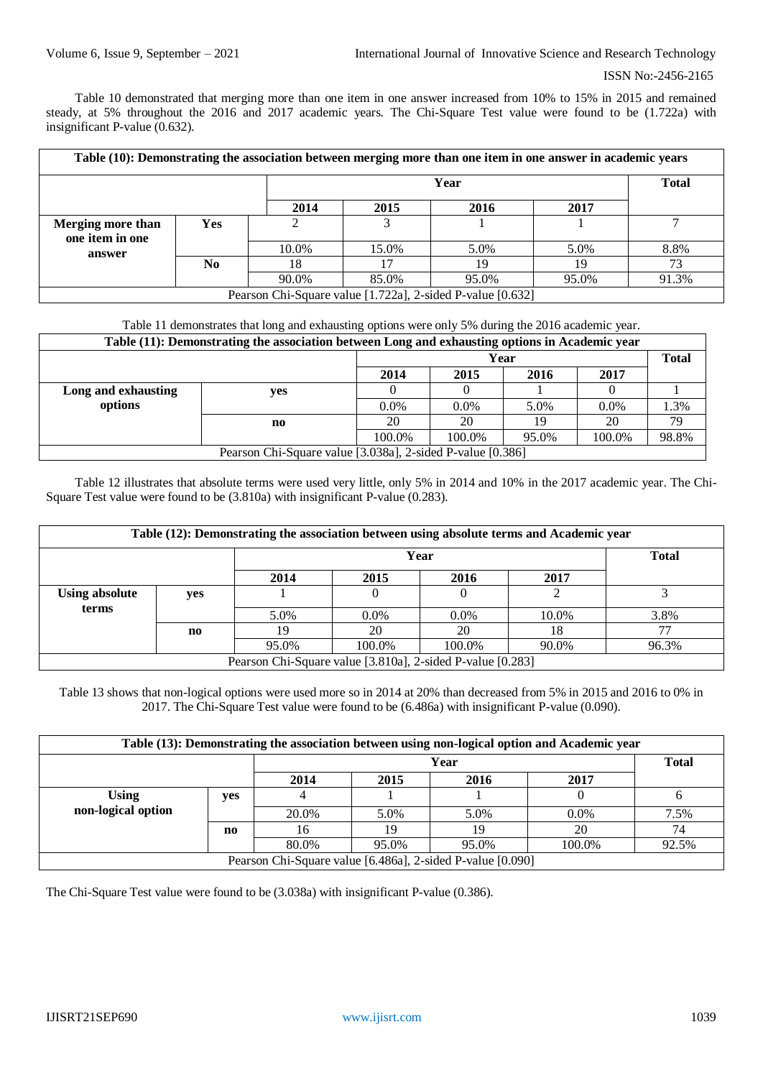Table 10 demonstrated that merging more than one item in one answer increased from 10% to 15% in 2015 and remained steady, at 5% throughout the 2016 and 2017 academic years. The Chi-Square Test value were found to be (1.722a) with insignificant P-value (0.632).

| Table (10): Demonstrating the association between merging more than one item in one answer in academic years |     |       |                      |                                                             |       |       |  |  |
|--------------------------------------------------------------------------------------------------------------|-----|-------|----------------------|-------------------------------------------------------------|-------|-------|--|--|
|                                                                                                              |     |       | <b>Total</b><br>Year |                                                             |       |       |  |  |
|                                                                                                              |     | 2014  | 2015                 | 2016                                                        | 2017  |       |  |  |
| Merging more than<br>one item in one                                                                         | Yes |       |                      |                                                             |       |       |  |  |
| answer                                                                                                       |     | 10.0% | 15.0%                | 5.0%                                                        | 5.0%  | 8.8%  |  |  |
|                                                                                                              | No  | 18    | 7                    | 19                                                          |       | 73    |  |  |
|                                                                                                              |     | 90.0% | 85.0%                | 95.0%                                                       | 95.0% | 91.3% |  |  |
|                                                                                                              |     |       |                      | Decrees Chi Saugue volue [1.7220], 2. oided D volue [0.622] |       |       |  |  |

Pearson Chi-Square value [1.722a], 2-sided P-value [0.632]

# Table 11 demonstrates that long and exhausting options were only 5% during the 2016 academic year.

| Table (11): Demonstrating the association between Long and exhausting options in Academic year |                                                            |                              |         |       |         |       |  |  |  |
|------------------------------------------------------------------------------------------------|------------------------------------------------------------|------------------------------|---------|-------|---------|-------|--|--|--|
|                                                                                                |                                                            | <b>Total</b><br>Year         |         |       |         |       |  |  |  |
|                                                                                                |                                                            | 2017<br>2014<br>2015<br>2016 |         |       |         |       |  |  |  |
| Long and exhausting                                                                            | yes                                                        |                              |         |       |         |       |  |  |  |
| options                                                                                        |                                                            | $0.0\%$                      | $0.0\%$ | 5.0%  | $0.0\%$ | 1.3%  |  |  |  |
|                                                                                                | no                                                         | 20                           | 20      | 19    | 20      | 79    |  |  |  |
|                                                                                                |                                                            | 100.0%                       | 100.0%  | 95.0% | 100.0%  | 98.8% |  |  |  |
|                                                                                                | Pearson Chi-Square value [3.038a], 2-sided P-value [0.386] |                              |         |       |         |       |  |  |  |

Table 12 illustrates that absolute terms were used very little, only 5% in 2014 and 10% in the 2017 academic year. The Chi-Square Test value were found to be (3.810a) with insignificant P-value (0.283).

| Table (12): Demonstrating the association between using absolute terms and Academic year |              |       |         |         |       |       |  |  |  |
|------------------------------------------------------------------------------------------|--------------|-------|---------|---------|-------|-------|--|--|--|
|                                                                                          | <b>Total</b> |       |         |         |       |       |  |  |  |
|                                                                                          |              | 2014  | 2015    | 2016    | 2017  |       |  |  |  |
| <b>Using absolute</b>                                                                    | yes          |       |         |         |       |       |  |  |  |
| terms                                                                                    |              | 5.0%  | $0.0\%$ | $0.0\%$ | 10.0% | 3.8%  |  |  |  |
|                                                                                          | no           | 19    | 20      | 20      | 18    | 77    |  |  |  |
|                                                                                          |              | 95.0% | 100.0%  | 100.0%  | 90.0% | 96.3% |  |  |  |
| Pearson Chi-Square value [3.810a], 2-sided P-value [0.283]                               |              |       |         |         |       |       |  |  |  |

Table 13 shows that non-logical options were used more so in 2014 at 20% than decreased from 5% in 2015 and 2016 to 0% in 2017. The Chi-Square Test value were found to be (6.486a) with insignificant P-value (0.090).

| Table (13): Demonstrating the association between using non-logical option and Academic year |     |                      |       |       |         |       |  |  |  |  |
|----------------------------------------------------------------------------------------------|-----|----------------------|-------|-------|---------|-------|--|--|--|--|
|                                                                                              |     | <b>Total</b><br>Year |       |       |         |       |  |  |  |  |
| 2016<br>2017<br>2014<br>2015                                                                 |     |                      |       |       |         |       |  |  |  |  |
| <b>Using</b>                                                                                 | yes |                      |       |       |         |       |  |  |  |  |
| non-logical option                                                                           |     | 20.0%                | 5.0%  | 5.0%  | $0.0\%$ | 7.5%  |  |  |  |  |
|                                                                                              | no  | 16                   | 19    | 19    | 20      | 74    |  |  |  |  |
|                                                                                              |     | 80.0%                | 95.0% | 95.0% | 100.0%  | 92.5% |  |  |  |  |
| Pearson Chi-Square value [6.486a], 2-sided P-value [0.090]                                   |     |                      |       |       |         |       |  |  |  |  |

The Chi-Square Test value were found to be (3.038a) with insignificant P-value (0.386).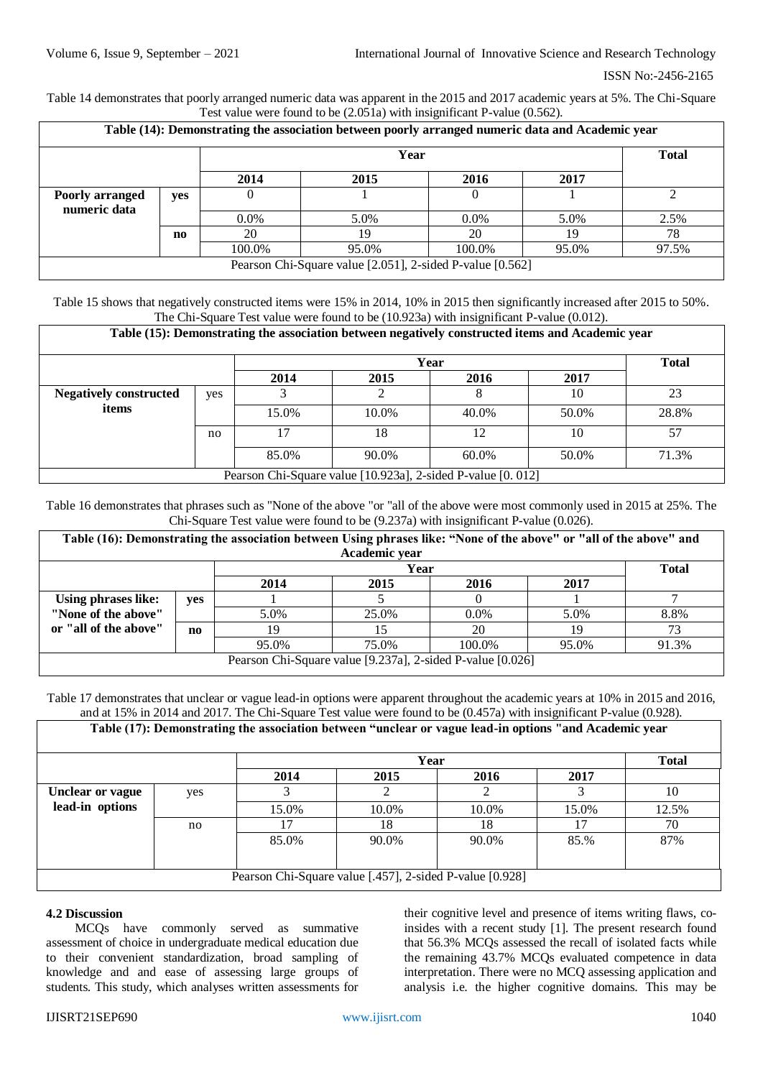Table 14 demonstrates that poorly arranged numeric data was apparent in the 2015 and 2017 academic years at 5%. The Chi-Square Test value were found to be (2.051a) with insignificant P-value (0.562).

| Table (14): Demonstrating the association between poorly arranged numeric data and Academic year |                              |         |                                                           |         |       |       |  |  |  |
|--------------------------------------------------------------------------------------------------|------------------------------|---------|-----------------------------------------------------------|---------|-------|-------|--|--|--|
|                                                                                                  |                              |         | <b>Total</b>                                              |         |       |       |  |  |  |
|                                                                                                  | 2014<br>2016<br>2017<br>2015 |         |                                                           |         |       |       |  |  |  |
| Poorly arranged<br>numeric data                                                                  | yes                          |         |                                                           |         |       |       |  |  |  |
|                                                                                                  |                              | $0.0\%$ | 5.0%                                                      | $0.0\%$ | 5.0%  | 2.5%  |  |  |  |
|                                                                                                  | $\mathbf{n}\mathbf{o}$       | 20      | 19                                                        | 20      | 19    | 78    |  |  |  |
|                                                                                                  |                              | 100.0%  | 95.0%                                                     | 100.0%  | 95.0% | 97.5% |  |  |  |
|                                                                                                  |                              |         | Pearson Chi-Square value [2.051], 2-sided P-value [0.562] |         |       |       |  |  |  |

Table 15 shows that negatively constructed items were 15% in 2014, 10% in 2015 then significantly increased after 2015 to 50%. The Chi-Square Test value were found to be (10.923a) with insignificant P-value (0.012).

| Table (15): Demonstrating the association between negatively constructed items and Academic year |     |       |                      |          |       |       |  |  |  |  |  |
|--------------------------------------------------------------------------------------------------|-----|-------|----------------------|----------|-------|-------|--|--|--|--|--|
|                                                                                                  |     |       | <b>Total</b>         |          |       |       |  |  |  |  |  |
|                                                                                                  |     | 2014  | 2015<br>2017<br>2016 |          |       |       |  |  |  |  |  |
| <b>Negatively constructed</b>                                                                    | yes |       |                      |          | 10    | 23    |  |  |  |  |  |
| items                                                                                            |     | 15.0% | 10.0%                | 40.0%    | 50.0% | 28.8% |  |  |  |  |  |
|                                                                                                  | no  |       | 18                   | 12       | 10    | 57    |  |  |  |  |  |
|                                                                                                  |     | 85.0% | 90.0%                | $60.0\%$ | 50.0% | 71.3% |  |  |  |  |  |
| Pearson Chi-Square value [10.923a], 2-sided P-value [0. 012]                                     |     |       |                      |          |       |       |  |  |  |  |  |

Table 16 demonstrates that phrases such as "None of the above "or "all of the above were most commonly used in 2015 at 25%. The Chi-Square Test value were found to be (9.237a) with insignificant P-value (0.026).

| Table (16): Demonstrating the association between Using phrases like: "None of the above" or "all of the above" and |     |       |       |         |       |       |  |  |  |
|---------------------------------------------------------------------------------------------------------------------|-----|-------|-------|---------|-------|-------|--|--|--|
| Academic year                                                                                                       |     |       |       |         |       |       |  |  |  |
| Year                                                                                                                |     |       |       |         |       |       |  |  |  |
| 2015<br>2014<br>2016<br>2017                                                                                        |     |       |       |         |       |       |  |  |  |
| Using phrases like:                                                                                                 | yes |       |       |         |       |       |  |  |  |
| "None of the above"                                                                                                 |     | 5.0%  | 25.0% | $0.0\%$ | 5.0%  | 8.8%  |  |  |  |
| or "all of the above"                                                                                               | no  | 19    |       | 20      | 19    |       |  |  |  |
|                                                                                                                     |     | 95.0% | 75.0% | 100.0%  | 95.0% | 91.3% |  |  |  |
| Pearson Chi-Square value [9.237a], 2-sided P-value [0.026]                                                          |     |       |       |         |       |       |  |  |  |

Table 17 demonstrates that unclear or vague lead-in options were apparent throughout the academic years at 10% in 2015 and 2016, and at 15% in 2014 and 2017. The Chi-Square Test value were found to be (0.457a) with insignificant P-value (0.928).

|                                                          |     | Table (17): Demonstrating the association between "unclear or vague lead-in options "and Academic year |       |       |       |       |  |  |  |  |  |
|----------------------------------------------------------|-----|--------------------------------------------------------------------------------------------------------|-------|-------|-------|-------|--|--|--|--|--|
|                                                          |     |                                                                                                        | Year  |       |       |       |  |  |  |  |  |
|                                                          |     | 2014                                                                                                   | 2015  | 2016  | 2017  |       |  |  |  |  |  |
| <b>Unclear or vague</b>                                  | yes |                                                                                                        |       |       |       | 10    |  |  |  |  |  |
| lead-in options                                          |     | 15.0%                                                                                                  | 10.0% | 10.0% | 15.0% | 12.5% |  |  |  |  |  |
|                                                          | no  |                                                                                                        | 18    | 18    |       | 70    |  |  |  |  |  |
|                                                          |     | 85.0%                                                                                                  | 90.0% | 90.0% | 85.%  | 87%   |  |  |  |  |  |
|                                                          |     |                                                                                                        |       |       |       |       |  |  |  |  |  |
| Pearson Chi-Square value [.457], 2-sided P-value [0.928] |     |                                                                                                        |       |       |       |       |  |  |  |  |  |

#### **4.2 Discussion**

MCQs have commonly served as summative assessment of choice in undergraduate medical education due to their convenient standardization, broad sampling of knowledge and and ease of assessing large groups of students. This study, which analyses written assessments for

their cognitive level and presence of items writing flaws, coinsides with a recent study [1]. The present research found that 56.3% MCQs assessed the recall of isolated facts while the remaining 43.7% MCQs evaluated competence in data interpretation. There were no MCQ assessing application and analysis i.e. the higher cognitive domains. This may be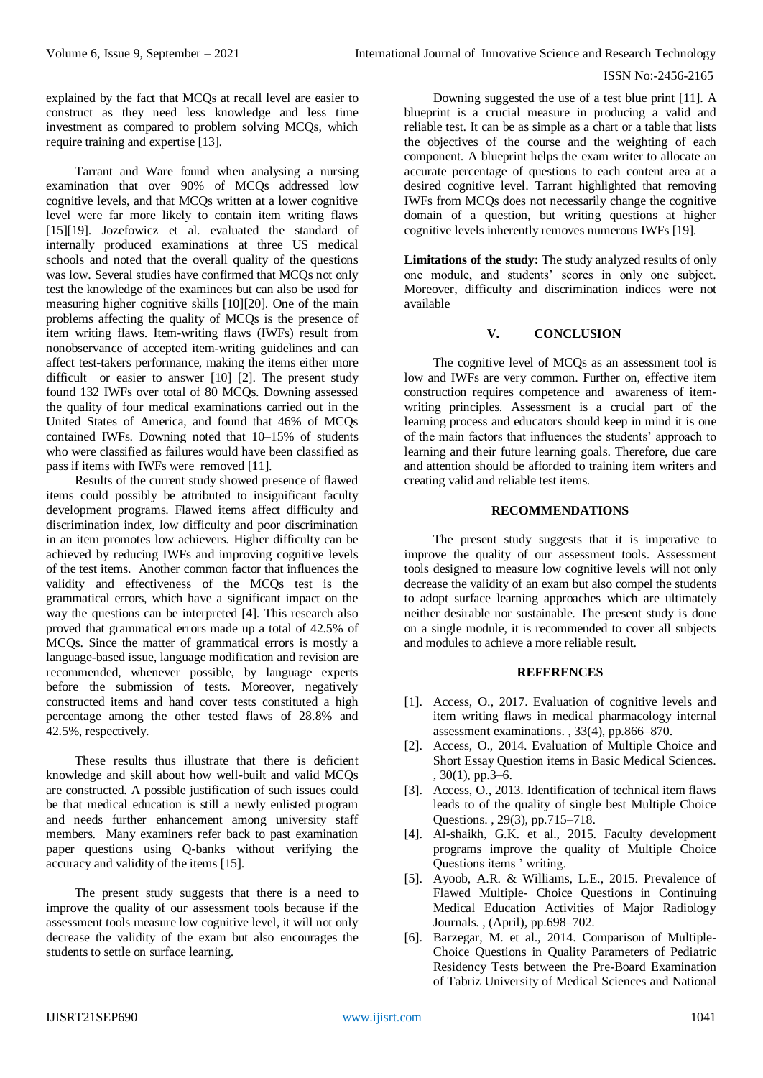explained by the fact that MCQs at recall level are easier to construct as they need less knowledge and less time investment as compared to problem solving MCQs, which require training and expertise [13].

Tarrant and Ware found when analysing a nursing examination that over 90% of MCQs addressed low cognitive levels, and that MCQs written at a lower cognitive level were far more likely to contain item writing flaws [15][19]. Jozefowicz et al. evaluated the standard of internally produced examinations at three US medical schools and noted that the overall quality of the questions was low. Several studies have confirmed that MCQs not only test the knowledge of the examinees but can also be used for measuring higher cognitive skills [10][20]. One of the main problems affecting the quality of MCQs is the presence of item writing flaws. Item-writing flaws (IWFs) result from nonobservance of accepted item-writing guidelines and can affect test-takers performance, making the items either more difficult or easier to answer [10] [2]. The present study found 132 IWFs over total of 80 MCQs. Downing assessed the quality of four medical examinations carried out in the United States of America, and found that 46% of MCQs contained IWFs. Downing noted that 10–15% of students who were classified as failures would have been classified as pass if items with IWFs were removed [11].

Results of the current study showed presence of flawed items could possibly be attributed to insignificant faculty development programs. Flawed items affect difficulty and discrimination index, low difficulty and poor discrimination in an item promotes low achievers. Higher difficulty can be achieved by reducing IWFs and improving cognitive levels of the test items. Another common factor that influences the validity and effectiveness of the MCQs test is the grammatical errors, which have a significant impact on the way the questions can be interpreted [4]. This research also proved that grammatical errors made up a total of 42.5% of MCQs. Since the matter of grammatical errors is mostly a language-based issue, language modification and revision are recommended, whenever possible, by language experts before the submission of tests. Moreover, negatively constructed items and hand cover tests constituted a high percentage among the other tested flaws of 28.8% and 42.5%, respectively.

These results thus illustrate that there is deficient knowledge and skill about how well-built and valid MCQs are constructed. A possible justification of such issues could be that medical education is still a newly enlisted program and needs further enhancement among university staff members. Many examiners refer back to past examination paper questions using Q-banks without verifying the accuracy and validity of the items [15].

The present study suggests that there is a need to improve the quality of our assessment tools because if the assessment tools measure low cognitive level, it will not only decrease the validity of the exam but also encourages the students to settle on surface learning.

Downing suggested the use of a test blue print [11]. A blueprint is a crucial measure in producing a valid and reliable test. It can be as simple as a chart or a table that lists the objectives of the course and the weighting of each component. A blueprint helps the exam writer to allocate an accurate percentage of questions to each content area at a desired cognitive level. Tarrant highlighted that removing IWFs from MCQs does not necessarily change the cognitive domain of a question, but writing questions at higher cognitive levels inherently removes numerous IWFs [19].

**Limitations of the study:** The study analyzed results of only one module, and students' scores in only one subject. Moreover, difficulty and discrimination indices were not available

# **V. CONCLUSION**

The cognitive level of MCQs as an assessment tool is low and IWFs are very common. Further on, effective item construction requires competence and awareness of itemwriting principles. Assessment is a crucial part of the learning process and educators should keep in mind it is one of the main factors that influences the students' approach to learning and their future learning goals. Therefore, due care and attention should be afforded to training item writers and creating valid and reliable test items.

# **RECOMMENDATIONS**

The present study suggests that it is imperative to improve the quality of our assessment tools. Assessment tools designed to measure low cognitive levels will not only decrease the validity of an exam but also compel the students to adopt surface learning approaches which are ultimately neither desirable nor sustainable. The present study is done on a single module, it is recommended to cover all subjects and modules to achieve a more reliable result.

# **REFERENCES**

- [1]. Access, O., 2017. Evaluation of cognitive levels and item writing flaws in medical pharmacology internal assessment examinations. , 33(4), pp.866–870.
- [2]. Access, O., 2014. Evaluation of Multiple Choice and Short Essay Question items in Basic Medical Sciences. , 30(1), pp.3–6.
- [3]. Access, O., 2013. Identification of technical item flaws leads to of the quality of single best Multiple Choice Questions. , 29(3), pp.715–718.
- [4]. Al-shaikh, G.K. et al., 2015. Faculty development programs improve the quality of Multiple Choice Questions items ' writing.
- [5]. Ayoob, A.R. & Williams, L.E., 2015. Prevalence of Flawed Multiple- Choice Questions in Continuing Medical Education Activities of Major Radiology Journals. , (April), pp.698–702.
- [6]. Barzegar, M. et al., 2014. Comparison of Multiple-Choice Questions in Quality Parameters of Pediatric Residency Tests between the Pre-Board Examination of Tabriz University of Medical Sciences and National